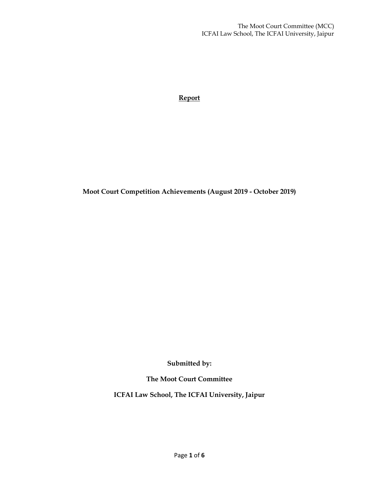**Report**

**Moot Court Competition Achievements (August 2019 - October 2019)**

**Submitted by:**

**The Moot Court Committee**

**ICFAI Law School, The ICFAI University, Jaipur**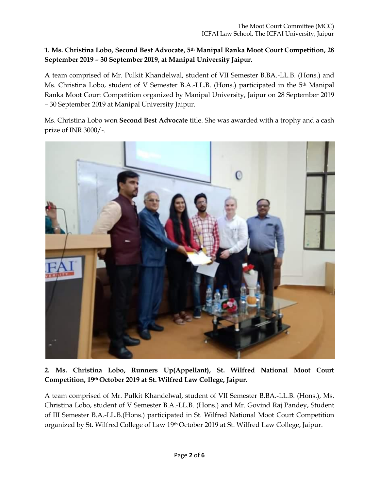## **1. Ms. Christina Lobo, Second Best Advocate, 5th Manipal Ranka Moot Court Competition, 28 September 2019 – 30 September 2019, at Manipal University Jaipur.**

A team comprised of Mr. Pulkit Khandelwal, student of VII Semester B.BA.-LL.B. (Hons.) and Ms. Christina Lobo, student of V Semester B.A.-LL.B. (Hons.) participated in the 5th Manipal Ranka Moot Court Competition organized by Manipal University, Jaipur on 28 September 2019 – 30 September 2019 at Manipal University Jaipur.

Ms. Christina Lobo won **Second Best Advocate** title. She was awarded with a trophy and a cash prize of INR 3000/-.



**2. Ms. Christina Lobo, Runners Up(Appellant), St. Wilfred National Moot Court Competition, 19th October 2019 at St. Wilfred Law College, Jaipur.**

A team comprised of Mr. Pulkit Khandelwal, student of VII Semester B.BA.-LL.B. (Hons.), Ms. Christina Lobo, student of V Semester B.A.-LL.B. (Hons.) and Mr. Govind Raj Pandey, Student of III Semester B.A.-LL.B.(Hons.) participated in St. Wilfred National Moot Court Competition organized by St. Wilfred College of Law 19th October 2019 at St. Wilfred Law College, Jaipur.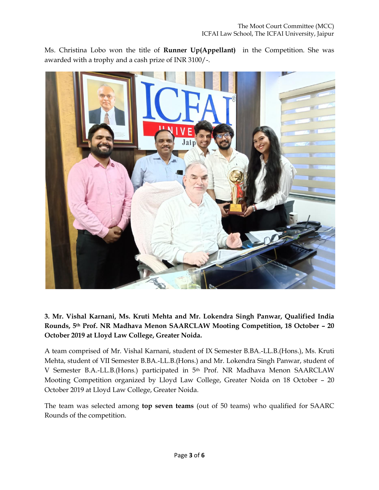Ms. Christina Lobo won the title of **Runner Up(Appellant)** in the Competition. She was awarded with a trophy and a cash prize of INR 3100/-.



**3. Mr. Vishal Karnani, Ms. Kruti Mehta and Mr. Lokendra Singh Panwar, Qualified India Rounds, 5th Prof. NR Madhava Menon SAARCLAW Mooting Competition, 18 October – 20 October 2019 at Lloyd Law College, Greater Noida.**

A team comprised of Mr. Vishal Karnani, student of IX Semester B.BA.-LL.B.(Hons.), Ms. Kruti Mehta, student of VII Semester B.BA.-LL.B.(Hons.) and Mr. Lokendra Singh Panwar, student of V Semester B.A.-LL.B.(Hons.) participated in 5th Prof. NR Madhava Menon SAARCLAW Mooting Competition organized by Lloyd Law College, Greater Noida on 18 October – 20 October 2019 at Lloyd Law College, Greater Noida.

The team was selected among **top seven teams** (out of 50 teams) who qualified for SAARC Rounds of the competition.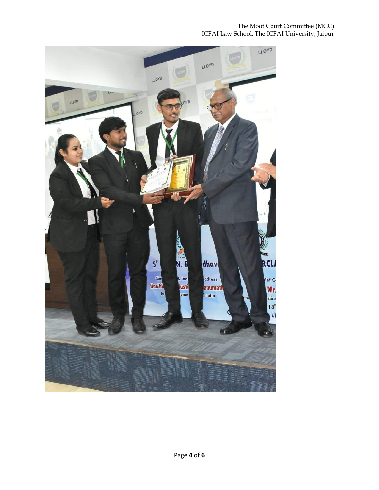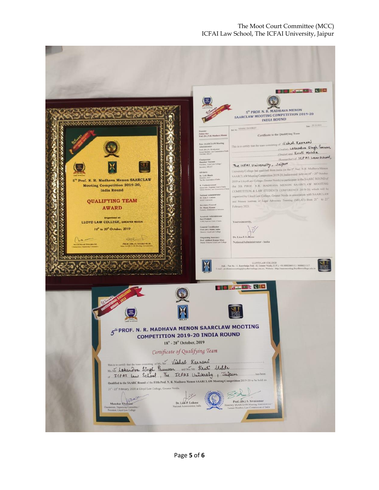## The Moot Court Committee (MCC) ICFAI Law School, The ICFAI University, Jaipur